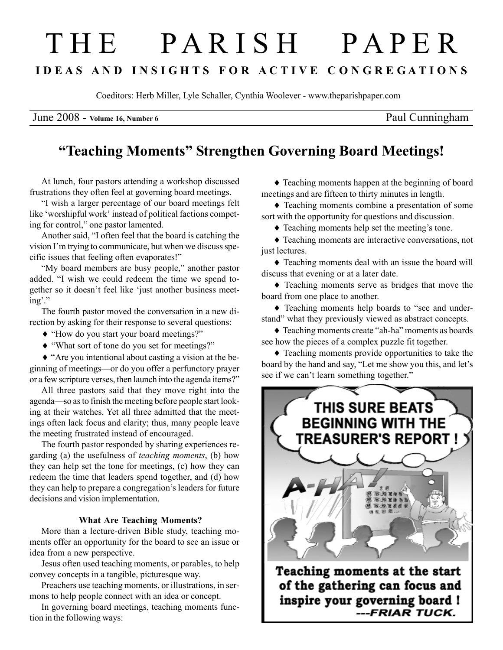# T H E P A R I S H P A P E R I D E A S A N D I N S I G H T S F O R A C T I V E C O N G R E G A T I O N S

Coeditors: Herb Miller, Lyle Schaller, Cynthia Woolever - www.theparishpaper.com

June 2008 - Volume 16, Number 6 Paul Cunningham

## "Teaching Moments" Strengthen Governing Board Meetings!

At lunch, four pastors attending a workshop discussed frustrations they often feel at governing board meetings.

"I wish a larger percentage of our board meetings felt like 'worshipful work' instead of political factions competing for control," one pastor lamented.

Another said, "I often feel that the board is catching the vision I'm trying to communicate, but when we discuss specific issues that feeling often evaporates!"

"My board members are busy people," another pastor added. "I wish we could redeem the time we spend together so it doesn't feel like 'just another business meeting'."

The fourth pastor moved the conversation in a new direction by asking for their response to several questions:

- ♦ "How do you start your board meetings?"
- ♦ "What sort of tone do you set for meetings?"

♦ "Are you intentional about casting a vision at the beginning of meetings—or do you offer a perfunctory prayer or a few scripture verses, then launch into the agenda items?"

All three pastors said that they move right into the agenda—so as to finish the meeting before people start looking at their watches. Yet all three admitted that the meetings often lack focus and clarity; thus, many people leave the meeting frustrated instead of encouraged.

The fourth pastor responded by sharing experiences regarding (a) the usefulness of teaching moments, (b) how they can help set the tone for meetings, (c) how they can redeem the time that leaders spend together, and (d) how they can help to prepare a congregation's leaders for future decisions and vision implementation.

### What Are Teaching Moments?

More than a lecture-driven Bible study, teaching moments offer an opportunity for the board to see an issue or idea from a new perspective.

Jesus often used teaching moments, or parables, to help convey concepts in a tangible, picturesque way.

Preachers use teaching moments, or illustrations, in sermons to help people connect with an idea or concept.

In governing board meetings, teaching moments function in the following ways:

♦ Teaching moments happen at the beginning of board meetings and are fifteen to thirty minutes in length.

♦ Teaching moments combine a presentation of some sort with the opportunity for questions and discussion.

♦ Teaching moments help set the meeting's tone.

♦ Teaching moments are interactive conversations, not just lectures.

♦ Teaching moments deal with an issue the board will discuss that evening or at a later date.

♦ Teaching moments serve as bridges that move the board from one place to another.

♦ Teaching moments help boards to "see and understand" what they previously viewed as abstract concepts.

♦ Teaching moments create "ah-ha" moments as boards see how the pieces of a complex puzzle fit together.

♦ Teaching moments provide opportunities to take the board by the hand and say, "Let me show you this, and let's see if we can't learn something together."